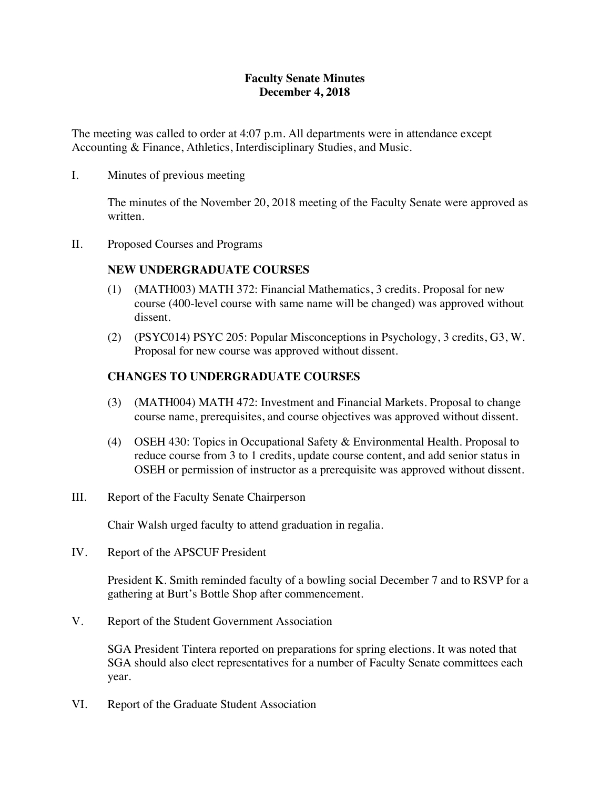### **Faculty Senate Minutes December 4, 2018**

The meeting was called to order at 4:07 p.m. All departments were in attendance except Accounting & Finance, Athletics, Interdisciplinary Studies, and Music.

I. Minutes of previous meeting

The minutes of the November 20, 2018 meeting of the Faculty Senate were approved as written.

II. Proposed Courses and Programs

#### **NEW UNDERGRADUATE COURSES**

- (1) (MATH003) MATH 372: Financial Mathematics, 3 credits. Proposal for new course (400-level course with same name will be changed) was approved without dissent.
- (2) (PSYC014) PSYC 205: Popular Misconceptions in Psychology, 3 credits, G3, W. Proposal for new course was approved without dissent.

### **CHANGES TO UNDERGRADUATE COURSES**

- (3) (MATH004) MATH 472: Investment and Financial Markets. Proposal to change course name, prerequisites, and course objectives was approved without dissent.
- (4) OSEH 430: Topics in Occupational Safety & Environmental Health. Proposal to reduce course from 3 to 1 credits, update course content, and add senior status in OSEH or permission of instructor as a prerequisite was approved without dissent.
- III. Report of the Faculty Senate Chairperson

Chair Walsh urged faculty to attend graduation in regalia.

IV. Report of the APSCUF President

President K. Smith reminded faculty of a bowling social December 7 and to RSVP for a gathering at Burt's Bottle Shop after commencement.

V. Report of the Student Government Association

SGA President Tintera reported on preparations for spring elections. It was noted that SGA should also elect representatives for a number of Faculty Senate committees each year.

VI. Report of the Graduate Student Association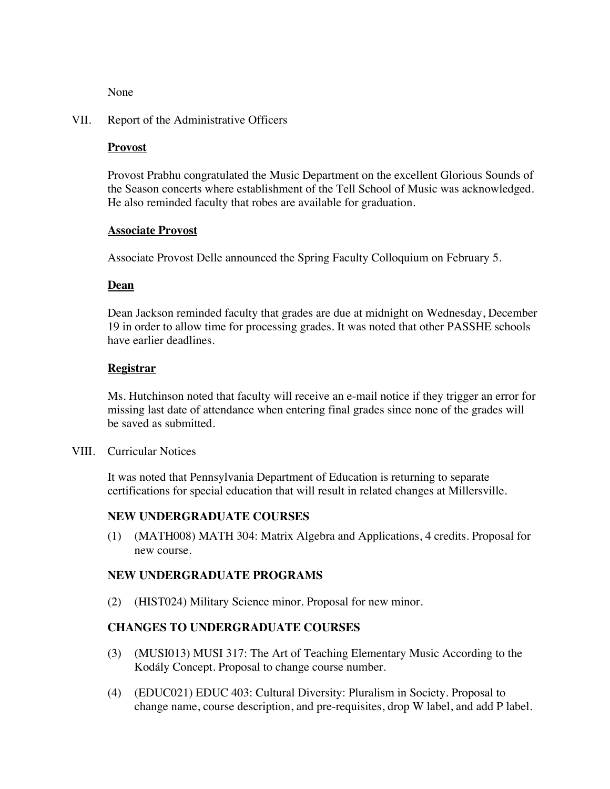None

#### VII. Report of the Administrative Officers

#### **Provost**

Provost Prabhu congratulated the Music Department on the excellent Glorious Sounds of the Season concerts where establishment of the Tell School of Music was acknowledged. He also reminded faculty that robes are available for graduation.

#### **Associate Provost**

Associate Provost Delle announced the Spring Faculty Colloquium on February 5.

#### **Dean**

Dean Jackson reminded faculty that grades are due at midnight on Wednesday, December 19 in order to allow time for processing grades. It was noted that other PASSHE schools have earlier deadlines.

#### **Registrar**

Ms. Hutchinson noted that faculty will receive an e-mail notice if they trigger an error for missing last date of attendance when entering final grades since none of the grades will be saved as submitted.

VIII. Curricular Notices

It was noted that Pennsylvania Department of Education is returning to separate certifications for special education that will result in related changes at Millersville.

#### **NEW UNDERGRADUATE COURSES**

(1) (MATH008) MATH 304: Matrix Algebra and Applications, 4 credits. Proposal for new course.

#### **NEW UNDERGRADUATE PROGRAMS**

(2) (HIST024) Military Science minor. Proposal for new minor.

### **CHANGES TO UNDERGRADUATE COURSES**

- (3) (MUSI013) MUSI 317: The Art of Teaching Elementary Music According to the Kodály Concept. Proposal to change course number.
- (4) (EDUC021) EDUC 403: Cultural Diversity: Pluralism in Society. Proposal to change name, course description, and pre-requisites, drop W label, and add P label.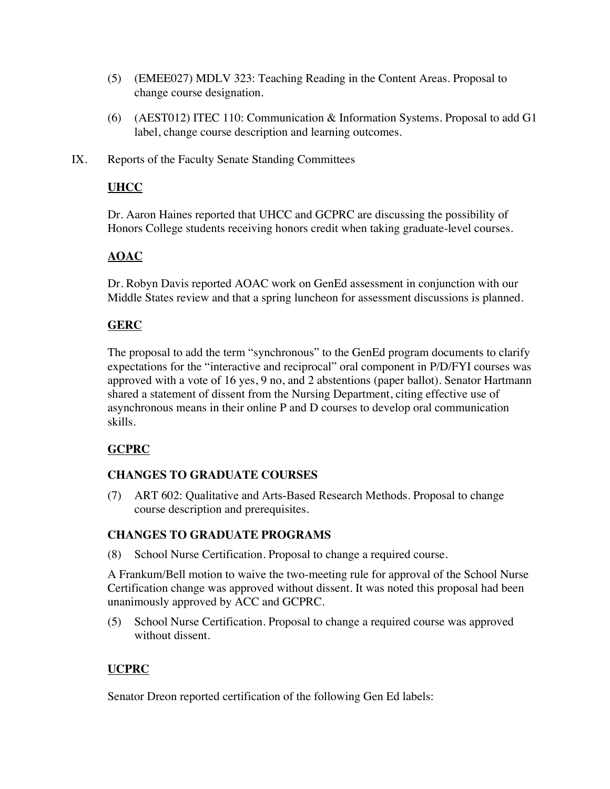- (5) (EMEE027) MDLV 323: Teaching Reading in the Content Areas. Proposal to change course designation.
- (6) (AEST012) ITEC 110: Communication & Information Systems. Proposal to add G1 label, change course description and learning outcomes.
- IX. Reports of the Faculty Senate Standing Committees

## **UHCC**

Dr. Aaron Haines reported that UHCC and GCPRC are discussing the possibility of Honors College students receiving honors credit when taking graduate-level courses.

## **AOAC**

Dr. Robyn Davis reported AOAC work on GenEd assessment in conjunction with our Middle States review and that a spring luncheon for assessment discussions is planned.

### **GERC**

The proposal to add the term "synchronous" to the GenEd program documents to clarify expectations for the "interactive and reciprocal" oral component in P/D/FYI courses was approved with a vote of 16 yes, 9 no, and 2 abstentions (paper ballot). Senator Hartmann shared a statement of dissent from the Nursing Department, citing effective use of asynchronous means in their online P and D courses to develop oral communication skills.

### **GCPRC**

### **CHANGES TO GRADUATE COURSES**

(7) ART 602: Qualitative and Arts-Based Research Methods. Proposal to change course description and prerequisites.

### **CHANGES TO GRADUATE PROGRAMS**

(8) School Nurse Certification. Proposal to change a required course.

A Frankum/Bell motion to waive the two-meeting rule for approval of the School Nurse Certification change was approved without dissent. It was noted this proposal had been unanimously approved by ACC and GCPRC.

(5) School Nurse Certification. Proposal to change a required course was approved without dissent.

# **UCPRC**

Senator Dreon reported certification of the following Gen Ed labels: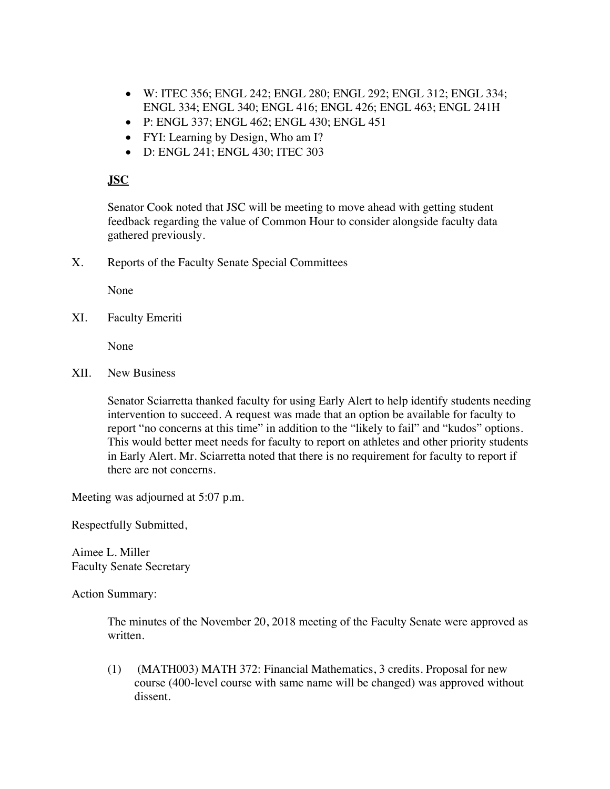- W: ITEC 356; ENGL 242; ENGL 280; ENGL 292; ENGL 312; ENGL 334; ENGL 334; ENGL 340; ENGL 416; ENGL 426; ENGL 463; ENGL 241H
- P: ENGL 337; ENGL 462; ENGL 430; ENGL 451
- FYI: Learning by Design, Who am I?
- D: ENGL 241; ENGL 430; ITEC 303

### **JSC**

Senator Cook noted that JSC will be meeting to move ahead with getting student feedback regarding the value of Common Hour to consider alongside faculty data gathered previously.

X. Reports of the Faculty Senate Special Committees

None

XI. Faculty Emeriti

None

XII. New Business

Senator Sciarretta thanked faculty for using Early Alert to help identify students needing intervention to succeed. A request was made that an option be available for faculty to report "no concerns at this time" in addition to the "likely to fail" and "kudos" options. This would better meet needs for faculty to report on athletes and other priority students in Early Alert. Mr. Sciarretta noted that there is no requirement for faculty to report if there are not concerns.

Meeting was adjourned at 5:07 p.m.

Respectfully Submitted,

Aimee L. Miller Faculty Senate Secretary

Action Summary:

The minutes of the November 20, 2018 meeting of the Faculty Senate were approved as written.

(1) (MATH003) MATH 372: Financial Mathematics, 3 credits. Proposal for new course (400-level course with same name will be changed) was approved without dissent.